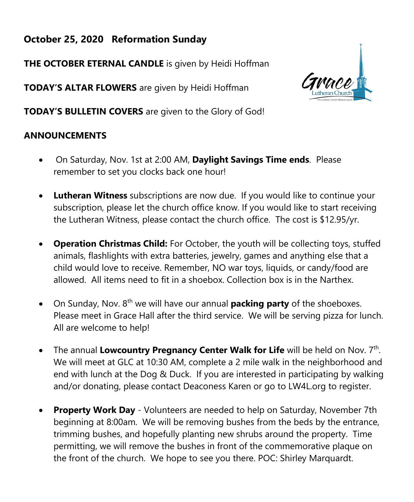# **October 25, 2020 Reformation Sunday**

**THE OCTOBER ETERNAL CANDLE** is given by Heidi Hoffman

**TODAY'S ALTAR FLOWERS** are given by Heidi Hoffman

**TODAY'S BULLETIN COVERS** are given to the Glory of God!

# **ANNOUNCEMENTS**

- On Saturday, Nov. 1st at 2:00 AM, **Daylight Savings Time ends**. Please remember to set you clocks back one hour!
- **Lutheran Witness** subscriptions are now due. If you would like to continue your subscription, please let the church office know. If you would like to start receiving the Lutheran Witness, please contact the church office. The cost is \$12.95/yr.
- **Operation Christmas Child:** For October, the youth will be collecting toys, stuffed animals, flashlights with extra batteries, jewelry, games and anything else that a child would love to receive. Remember, NO war toys, liquids, or candy/food are allowed. All items need to fit in a shoebox. Collection box is in the Narthex.
- On Sunday, Nov. 8<sup>th</sup> we will have our annual **packing party** of the shoeboxes. Please meet in Grace Hall after the third service. We will be serving pizza for lunch. All are welcome to help!
- The annual Lowcountry Pregnancy Center Walk for Life will be held on Nov. 7<sup>th</sup>. We will meet at GLC at 10:30 AM, complete a 2 mile walk in the neighborhood and end with lunch at the Dog & Duck. If you are interested in participating by walking and/or donating, please contact Deaconess Karen or go to LW4L.org to register.
- **Property Work Day** Volunteers are needed to help on Saturday, November 7th beginning at 8:00am. We will be removing bushes from the beds by the entrance, trimming bushes, and hopefully planting new shrubs around the property. Time permitting, we will remove the bushes in front of the commemorative plaque on the front of the church. We hope to see you there. POC: Shirley Marquardt.

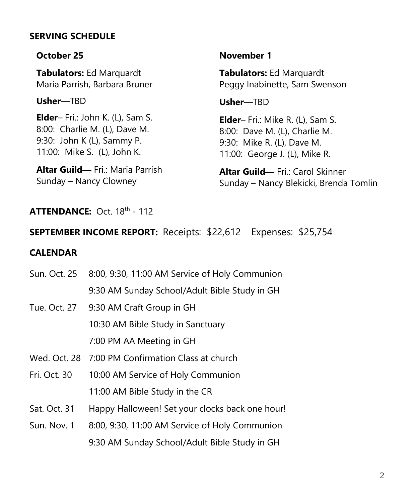## **SERVING SCHEDULE**

#### **October 25**

**Tabulators:** Ed Marquardt Maria Parrish, Barbara Bruner

**Usher**—TBD

**Elder**– Fri.: John K. (L), Sam S. 8:00: Charlie M. (L), Dave M. 9:30: John K (L), Sammy P. 11:00: Mike S. (L), John K.

**Altar Guild—** Fri.: Maria Parrish Sunday – Nancy Clowney

#### **November 1**

**Tabulators:** Ed Marquardt Peggy Inabinette, Sam Swenson

**Usher**—TBD

**Elder**– Fri.: Mike R. (L), Sam S. 8:00: Dave M. (L), Charlie M. 9:30: Mike R. (L), Dave M. 11:00: George J. (L), Mike R.

**Altar Guild—** Fri.: Carol Skinner Sunday – Nancy Blekicki, Brenda Tomlin

### **ATTENDANCE:** Oct. 18<sup>th</sup> - 112

### **SEPTEMBER INCOME REPORT:** Receipts: \$22,612 Expenses: \$25,754

#### **CALENDAR**

| Sun. Oct. 25 | 8:00, 9:30, 11:00 AM Service of Holy Communion    |
|--------------|---------------------------------------------------|
|              | 9:30 AM Sunday School/Adult Bible Study in GH     |
| Tue. Oct. 27 | 9:30 AM Craft Group in GH                         |
|              | 10:30 AM Bible Study in Sanctuary                 |
|              | 7:00 PM AA Meeting in GH                          |
|              | Wed. Oct. 28 7:00 PM Confirmation Class at church |
| Fri. Oct. 30 | 10:00 AM Service of Holy Communion                |
|              | 11:00 AM Bible Study in the CR                    |
| Sat. Oct. 31 | Happy Halloween! Set your clocks back one hour!   |
| Sun. Nov. 1  | 8:00, 9:30, 11:00 AM Service of Holy Communion    |

9:30 AM Sunday School/Adult Bible Study in GH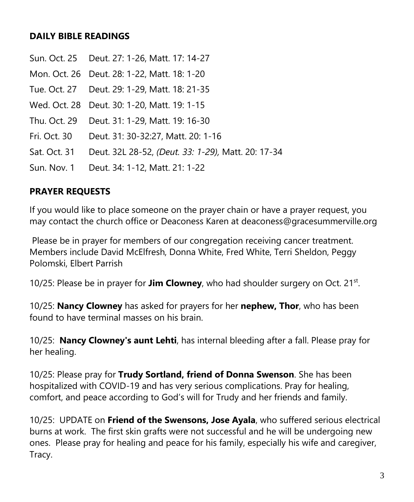### **DAILY BIBLE READINGS**

- Sun. Oct. 25 Deut. 27: 1-26, Matt. 17: 14-27
- Mon. Oct. 26 Deut. 28: 1-22, Matt. 18: 1-20
- Tue. Oct. 27 Deut. 29: 1-29, Matt. 18: 21-35
- Wed. Oct. 28 Deut. 30: 1-20, Matt. 19: 1-15
- Thu. Oct. 29 Deut. 31: 1-29, Matt. 19: 16-30
- Fri. Oct. 30 Deut. 31: 30-32:27, Matt. 20: 1-16
- Sat. Oct. 31 Deut. 32L 28-52, *(Deut. 33: 1-29),* Matt. 20: 17-34
- Sun. Nov. 1 Deut. 34: 1-12, Matt. 21: 1-22

### **PRAYER REQUESTS**

If you would like to place someone on the prayer chain or have a prayer request, you may contact the church office or Deaconess Karen at deaconess@gracesummerville.org

Please be in prayer for members of our congregation receiving cancer treatment. Members include David McElfresh, Donna White, Fred White, Terri Sheldon, Peggy Polomski, Elbert Parrish

10/25: Please be in prayer for **Jim Clowney**, who had shoulder surgery on Oct. 21<sup>st</sup>.

10/25: **Nancy Clowney** has asked for prayers for her **nephew, Thor**, who has been found to have terminal masses on his brain.

10/25: **Nancy Clowney's aunt Lehti**, has internal bleeding after a fall. Please pray for her healing.

10/25: Please pray for **Trudy Sortland, friend of Donna Swenson**. She has been hospitalized with COVID-19 and has very serious complications. Pray for healing, comfort, and peace according to God's will for Trudy and her friends and family.

10/25: UPDATE on **Friend of the Swensons, Jose Ayala**, who suffered serious electrical burns at work. The first skin grafts were not successful and he will be undergoing new ones. Please pray for healing and peace for his family, especially his wife and caregiver, Tracy.